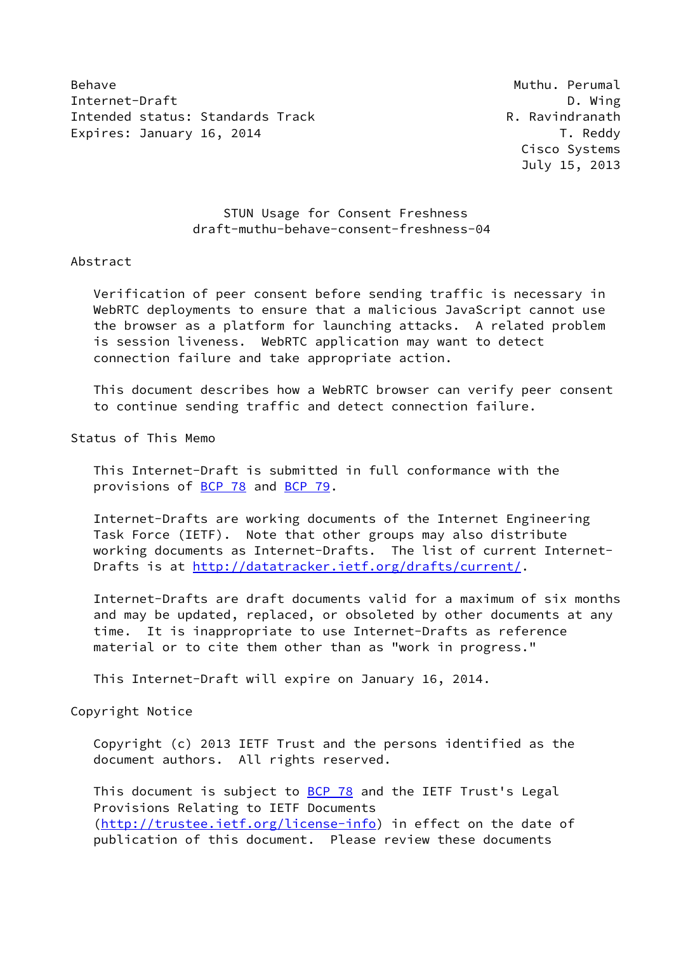Behave **Muthu. Perumal** Internet-Draft **D. Wing** Intended status: Standards Track R. Ravindranath Expires: January 16, 2014 **T. Reddy** 

 Cisco Systems July 15, 2013

## STUN Usage for Consent Freshness draft-muthu-behave-consent-freshness-04

## Abstract

 Verification of peer consent before sending traffic is necessary in WebRTC deployments to ensure that a malicious JavaScript cannot use the browser as a platform for launching attacks. A related problem is session liveness. WebRTC application may want to detect connection failure and take appropriate action.

 This document describes how a WebRTC browser can verify peer consent to continue sending traffic and detect connection failure.

Status of This Memo

 This Internet-Draft is submitted in full conformance with the provisions of [BCP 78](https://datatracker.ietf.org/doc/pdf/bcp78) and [BCP 79](https://datatracker.ietf.org/doc/pdf/bcp79).

 Internet-Drafts are working documents of the Internet Engineering Task Force (IETF). Note that other groups may also distribute working documents as Internet-Drafts. The list of current Internet- Drafts is at<http://datatracker.ietf.org/drafts/current/>.

 Internet-Drafts are draft documents valid for a maximum of six months and may be updated, replaced, or obsoleted by other documents at any time. It is inappropriate to use Internet-Drafts as reference material or to cite them other than as "work in progress."

This Internet-Draft will expire on January 16, 2014.

Copyright Notice

 Copyright (c) 2013 IETF Trust and the persons identified as the document authors. All rights reserved.

This document is subject to **[BCP 78](https://datatracker.ietf.org/doc/pdf/bcp78)** and the IETF Trust's Legal Provisions Relating to IETF Documents [\(http://trustee.ietf.org/license-info](http://trustee.ietf.org/license-info)) in effect on the date of publication of this document. Please review these documents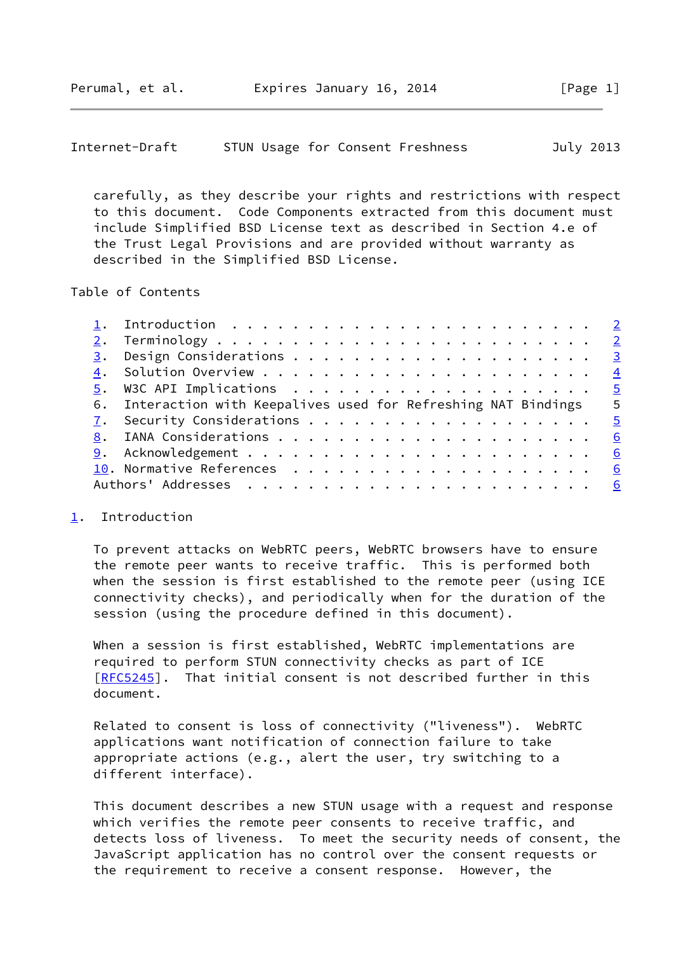<span id="page-1-1"></span> carefully, as they describe your rights and restrictions with respect to this document. Code Components extracted from this document must include Simplified BSD License text as described in Section 4.e of the Trust Legal Provisions and are provided without warranty as described in the Simplified BSD License.

Table of Contents

| <u>5</u> . W3C API Implications <u>5</u>                                |
|-------------------------------------------------------------------------|
| $-5$<br>6. Interaction with Keepalives used for Refreshing NAT Bindings |
|                                                                         |
| 6                                                                       |
|                                                                         |
|                                                                         |
|                                                                         |
|                                                                         |

## <span id="page-1-0"></span>[1](#page-1-0). Introduction

 To prevent attacks on WebRTC peers, WebRTC browsers have to ensure the remote peer wants to receive traffic. This is performed both when the session is first established to the remote peer (using ICE connectivity checks), and periodically when for the duration of the session (using the procedure defined in this document).

 When a session is first established, WebRTC implementations are required to perform STUN connectivity checks as part of ICE [\[RFC5245](https://datatracker.ietf.org/doc/pdf/rfc5245)]. That initial consent is not described further in this document.

 Related to consent is loss of connectivity ("liveness"). WebRTC applications want notification of connection failure to take appropriate actions (e.g., alert the user, try switching to a different interface).

 This document describes a new STUN usage with a request and response which verifies the remote peer consents to receive traffic, and detects loss of liveness. To meet the security needs of consent, the JavaScript application has no control over the consent requests or the requirement to receive a consent response. However, the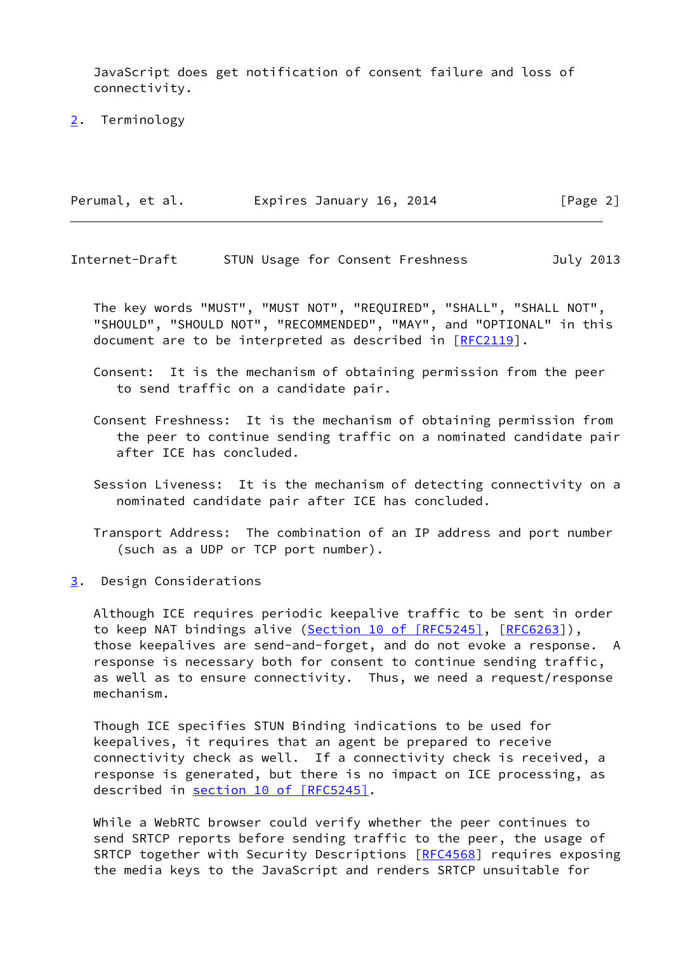JavaScript does get notification of consent failure and loss of connectivity.

<span id="page-2-0"></span>[2](#page-2-0). Terminology

| Perumal, et al. | Expires January 16, 2014 | [Page 2] |
|-----------------|--------------------------|----------|
|                 |                          |          |

<span id="page-2-2"></span>Internet-Draft STUN Usage for Consent Freshness July 2013

 The key words "MUST", "MUST NOT", "REQUIRED", "SHALL", "SHALL NOT", "SHOULD", "SHOULD NOT", "RECOMMENDED", "MAY", and "OPTIONAL" in this document are to be interpreted as described in [\[RFC2119](https://datatracker.ietf.org/doc/pdf/rfc2119)].

 Consent: It is the mechanism of obtaining permission from the peer to send traffic on a candidate pair.

- Consent Freshness: It is the mechanism of obtaining permission from the peer to continue sending traffic on a nominated candidate pair after ICE has concluded.
- Session Liveness: It is the mechanism of detecting connectivity on a nominated candidate pair after ICE has concluded.
- Transport Address: The combination of an IP address and port number (such as a UDP or TCP port number).
- <span id="page-2-1"></span>[3](#page-2-1). Design Considerations

 Although ICE requires periodic keepalive traffic to be sent in order to keep NAT bindings alive (Section [10 of \[RFC5245\],](https://datatracker.ietf.org/doc/pdf/rfc5245#section-10) [\[RFC6263](https://datatracker.ietf.org/doc/pdf/rfc6263)]), those keepalives are send-and-forget, and do not evoke a response. A response is necessary both for consent to continue sending traffic, as well as to ensure connectivity. Thus, we need a request/response mechanism.

 Though ICE specifies STUN Binding indications to be used for keepalives, it requires that an agent be prepared to receive connectivity check as well. If a connectivity check is received, a response is generated, but there is no impact on ICE processing, as described in section [10 of \[RFC5245\]](https://datatracker.ietf.org/doc/pdf/rfc5245#section-10).

 While a WebRTC browser could verify whether the peer continues to send SRTCP reports before sending traffic to the peer, the usage of SRTCP together with Security Descriptions [[RFC4568](https://datatracker.ietf.org/doc/pdf/rfc4568)] requires exposing the media keys to the JavaScript and renders SRTCP unsuitable for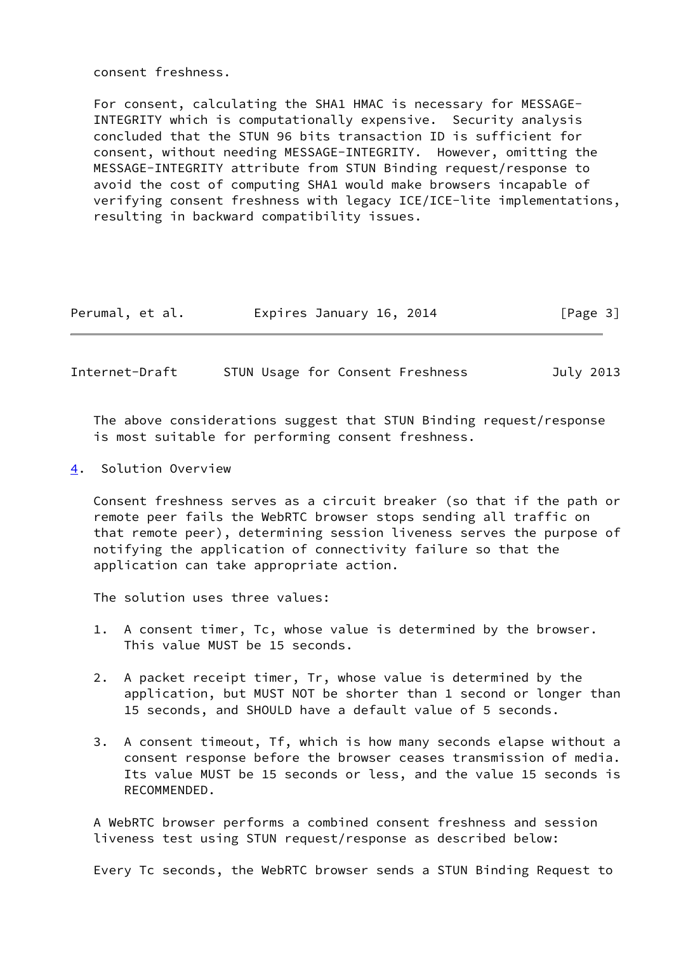consent freshness.

 For consent, calculating the SHA1 HMAC is necessary for MESSAGE- INTEGRITY which is computationally expensive. Security analysis concluded that the STUN 96 bits transaction ID is sufficient for consent, without needing MESSAGE-INTEGRITY. However, omitting the MESSAGE-INTEGRITY attribute from STUN Binding request/response to avoid the cost of computing SHA1 would make browsers incapable of verifying consent freshness with legacy ICE/ICE-lite implementations, resulting in backward compatibility issues.

| Perumal, et al. | Expires January 16, 2014 | [Page 3] |
|-----------------|--------------------------|----------|
|-----------------|--------------------------|----------|

<span id="page-3-1"></span>Internet-Draft STUN Usage for Consent Freshness July 2013

 The above considerations suggest that STUN Binding request/response is most suitable for performing consent freshness.

<span id="page-3-0"></span>[4](#page-3-0). Solution Overview

 Consent freshness serves as a circuit breaker (so that if the path or remote peer fails the WebRTC browser stops sending all traffic on that remote peer), determining session liveness serves the purpose of notifying the application of connectivity failure so that the application can take appropriate action.

The solution uses three values:

- 1. A consent timer, Tc, whose value is determined by the browser. This value MUST be 15 seconds.
- 2. A packet receipt timer, Tr, whose value is determined by the application, but MUST NOT be shorter than 1 second or longer than 15 seconds, and SHOULD have a default value of 5 seconds.
- 3. A consent timeout, Tf, which is how many seconds elapse without a consent response before the browser ceases transmission of media. Its value MUST be 15 seconds or less, and the value 15 seconds is RECOMMENDED.

 A WebRTC browser performs a combined consent freshness and session liveness test using STUN request/response as described below:

Every Tc seconds, the WebRTC browser sends a STUN Binding Request to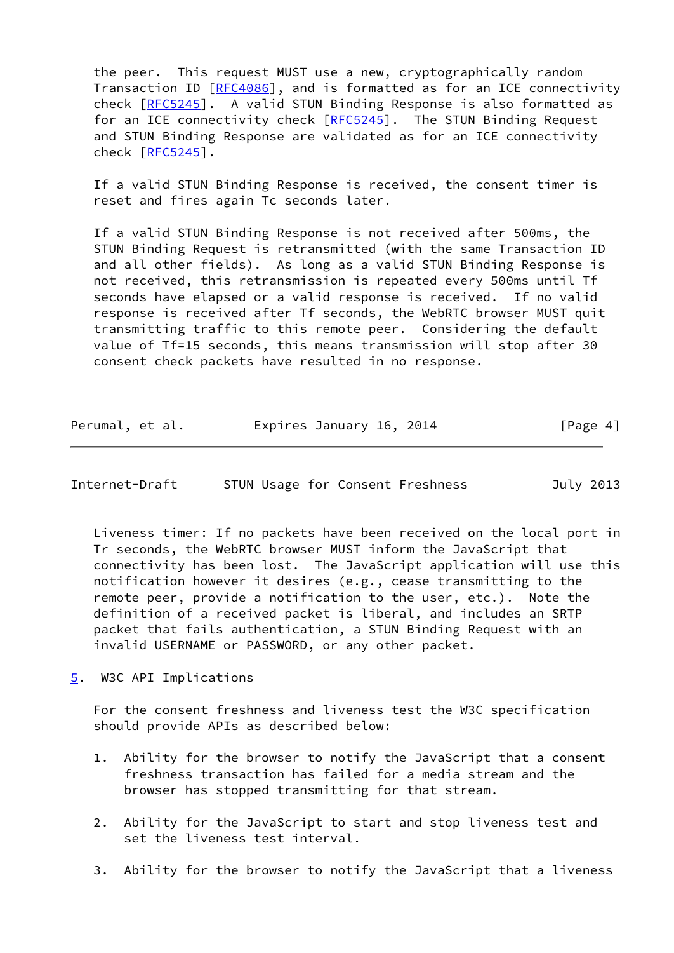the peer. This request MUST use a new, cryptographically random Transaction ID [\[RFC4086](https://datatracker.ietf.org/doc/pdf/rfc4086)], and is formatted as for an ICE connectivity check [[RFC5245](https://datatracker.ietf.org/doc/pdf/rfc5245)]. A valid STUN Binding Response is also formatted as for an ICE connectivity check [[RFC5245](https://datatracker.ietf.org/doc/pdf/rfc5245)]. The STUN Binding Request and STUN Binding Response are validated as for an ICE connectivity check [[RFC5245](https://datatracker.ietf.org/doc/pdf/rfc5245)].

 If a valid STUN Binding Response is received, the consent timer is reset and fires again Tc seconds later.

 If a valid STUN Binding Response is not received after 500ms, the STUN Binding Request is retransmitted (with the same Transaction ID and all other fields). As long as a valid STUN Binding Response is not received, this retransmission is repeated every 500ms until Tf seconds have elapsed or a valid response is received. If no valid response is received after Tf seconds, the WebRTC browser MUST quit transmitting traffic to this remote peer. Considering the default value of Tf=15 seconds, this means transmission will stop after 30 consent check packets have resulted in no response.

| Perumal, et al. | Expires January 16, 2014 | [Page 4] |
|-----------------|--------------------------|----------|
|-----------------|--------------------------|----------|

<span id="page-4-1"></span>Internet-Draft STUN Usage for Consent Freshness July 2013

 Liveness timer: If no packets have been received on the local port in Tr seconds, the WebRTC browser MUST inform the JavaScript that connectivity has been lost. The JavaScript application will use this notification however it desires (e.g., cease transmitting to the remote peer, provide a notification to the user, etc.). Note the definition of a received packet is liberal, and includes an SRTP packet that fails authentication, a STUN Binding Request with an invalid USERNAME or PASSWORD, or any other packet.

<span id="page-4-0"></span>[5](#page-4-0). W3C API Implications

 For the consent freshness and liveness test the W3C specification should provide APIs as described below:

- 1. Ability for the browser to notify the JavaScript that a consent freshness transaction has failed for a media stream and the browser has stopped transmitting for that stream.
- 2. Ability for the JavaScript to start and stop liveness test and set the liveness test interval.
- 3. Ability for the browser to notify the JavaScript that a liveness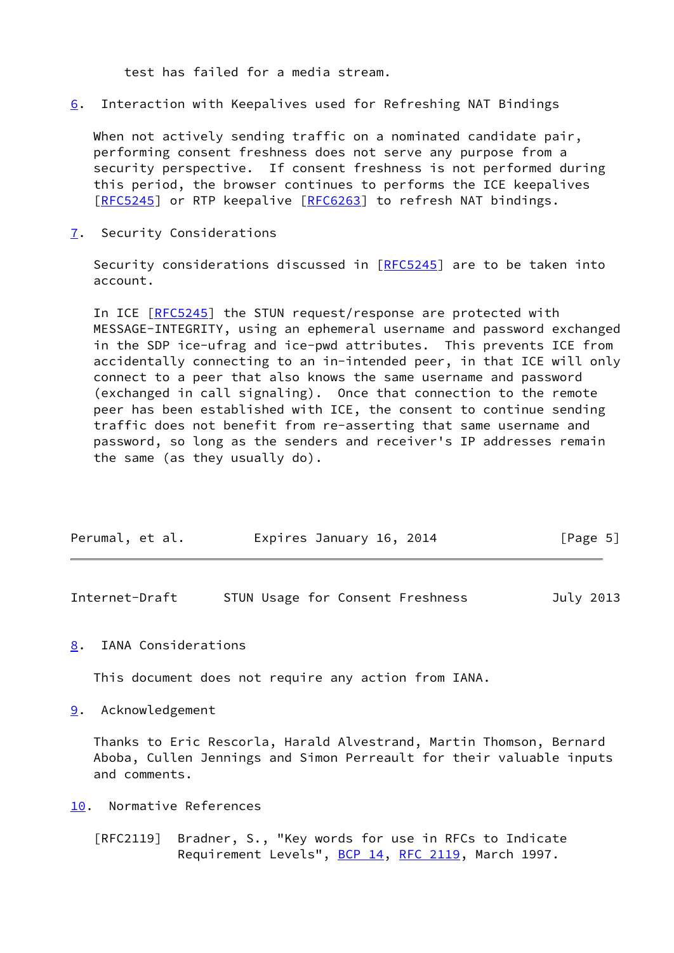test has failed for a media stream.

<span id="page-5-5"></span>[6](#page-5-5). Interaction with Keepalives used for Refreshing NAT Bindings

 When not actively sending traffic on a nominated candidate pair, performing consent freshness does not serve any purpose from a security perspective. If consent freshness is not performed during this period, the browser continues to performs the ICE keepalives [\[RFC5245](https://datatracker.ietf.org/doc/pdf/rfc5245)] or RTP keepalive [[RFC6263\]](https://datatracker.ietf.org/doc/pdf/rfc6263) to refresh NAT bindings.

<span id="page-5-0"></span>[7](#page-5-0). Security Considerations

Security considerations discussed in [\[RFC5245](https://datatracker.ietf.org/doc/pdf/rfc5245)] are to be taken into account.

 In ICE [\[RFC5245](https://datatracker.ietf.org/doc/pdf/rfc5245)] the STUN request/response are protected with MESSAGE-INTEGRITY, using an ephemeral username and password exchanged in the SDP ice-ufrag and ice-pwd attributes. This prevents ICE from accidentally connecting to an in-intended peer, in that ICE will only connect to a peer that also knows the same username and password (exchanged in call signaling). Once that connection to the remote peer has been established with ICE, the consent to continue sending traffic does not benefit from re-asserting that same username and password, so long as the senders and receiver's IP addresses remain the same (as they usually do).

| Perumal, et al. | Expires January 16, 2014 | [Page 5] |
|-----------------|--------------------------|----------|

<span id="page-5-2"></span>Internet-Draft STUN Usage for Consent Freshness July 2013

<span id="page-5-1"></span>[8](#page-5-1). IANA Considerations

This document does not require any action from IANA.

<span id="page-5-3"></span>[9](#page-5-3). Acknowledgement

 Thanks to Eric Rescorla, Harald Alvestrand, Martin Thomson, Bernard Aboba, Cullen Jennings and Simon Perreault for their valuable inputs and comments.

<span id="page-5-4"></span>[10.](#page-5-4) Normative References

 [RFC2119] Bradner, S., "Key words for use in RFCs to Indicate Requirement Levels", [BCP 14](https://datatracker.ietf.org/doc/pdf/bcp14), [RFC 2119](https://datatracker.ietf.org/doc/pdf/rfc2119), March 1997.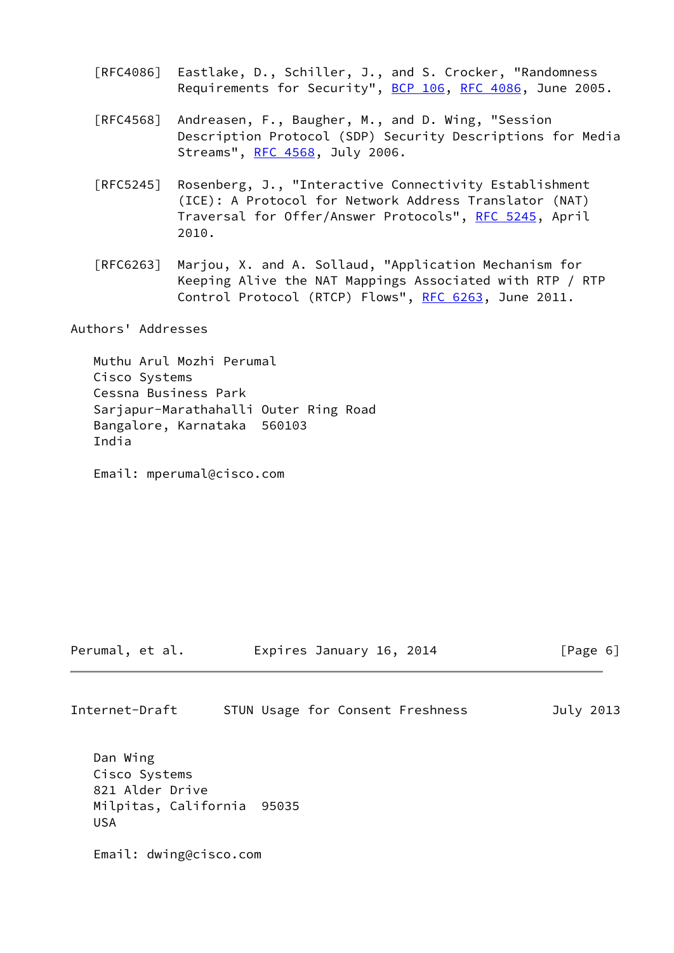- [RFC4086] Eastlake, D., Schiller, J., and S. Crocker, "Randomness Requirements for Security", [BCP 106](https://datatracker.ietf.org/doc/pdf/bcp106), [RFC 4086](https://datatracker.ietf.org/doc/pdf/rfc4086), June 2005.
- [RFC4568] Andreasen, F., Baugher, M., and D. Wing, "Session Description Protocol (SDP) Security Descriptions for Media Streams", [RFC 4568](https://datatracker.ietf.org/doc/pdf/rfc4568), July 2006.
- [RFC5245] Rosenberg, J., "Interactive Connectivity Establishment (ICE): A Protocol for Network Address Translator (NAT) Traversal for Offer/Answer Protocols", [RFC 5245](https://datatracker.ietf.org/doc/pdf/rfc5245), April 2010.
- [RFC6263] Marjou, X. and A. Sollaud, "Application Mechanism for Keeping Alive the NAT Mappings Associated with RTP / RTP Control Protocol (RTCP) Flows", [RFC 6263,](https://datatracker.ietf.org/doc/pdf/rfc6263) June 2011.

Authors' Addresses

 Muthu Arul Mozhi Perumal Cisco Systems Cessna Business Park Sarjapur-Marathahalli Outer Ring Road Bangalore, Karnataka 560103 India

Email: mperumal@cisco.com

Perumal, et al. **Expires January 16, 2014** [Page 6]

Internet-Draft STUN Usage for Consent Freshness July 2013

 Dan Wing Cisco Systems 821 Alder Drive Milpitas, California 95035 USA

Email: dwing@cisco.com